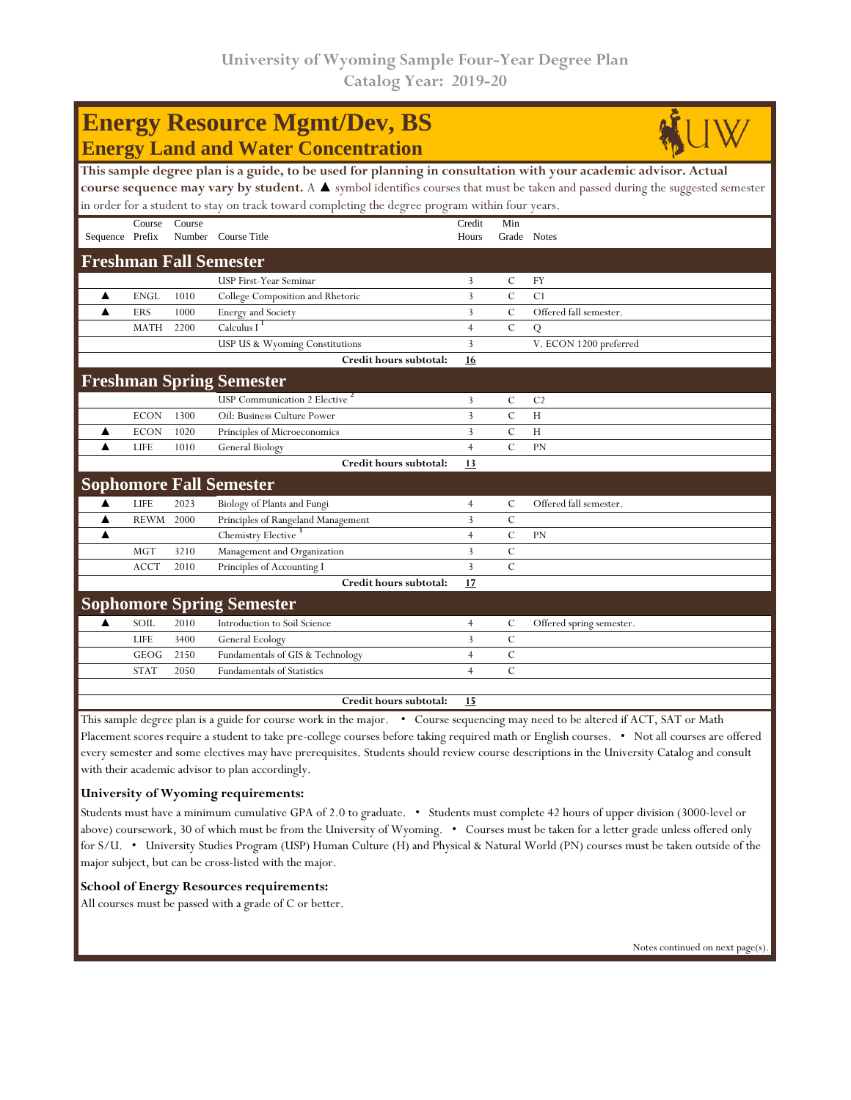## **Energy Resource Mgmt/Dev, BS Energy Land and Water Concentration**



| This sample degree plan is a guide, to be used for planning in consultation with your academic advisor. Actual                 |        |                                     |                                                                                                                                                               |               |                          |  |  |  |  |
|--------------------------------------------------------------------------------------------------------------------------------|--------|-------------------------------------|---------------------------------------------------------------------------------------------------------------------------------------------------------------|---------------|--------------------------|--|--|--|--|
| course sequence may vary by student. A ▲ symbol identifies courses that must be taken and passed during the suggested semester |        |                                     |                                                                                                                                                               |               |                          |  |  |  |  |
| in order for a student to stay on track toward completing the degree program within four years.                                |        |                                     |                                                                                                                                                               |               |                          |  |  |  |  |
| Course                                                                                                                         | Course |                                     | Credit                                                                                                                                                        | Min           |                          |  |  |  |  |
| Sequence Prefix                                                                                                                |        |                                     | Hours                                                                                                                                                         | Grade Notes   |                          |  |  |  |  |
|                                                                                                                                |        |                                     |                                                                                                                                                               |               |                          |  |  |  |  |
|                                                                                                                                |        | USP First-Year Seminar              | 3                                                                                                                                                             | $\mathcal{C}$ | FY                       |  |  |  |  |
| <b>ENGL</b>                                                                                                                    | 1010   | College Composition and Rhetoric    | 3                                                                                                                                                             | $\mathcal{C}$ | C <sub>1</sub>           |  |  |  |  |
| ERS                                                                                                                            | 1000   | Energy and Society                  | 3                                                                                                                                                             | $\mathbf C$   | Offered fall semester.   |  |  |  |  |
| <b>MATH</b>                                                                                                                    | 2200   | Calculus I <sup>1</sup>             | $\overline{4}$                                                                                                                                                | $\mathcal{C}$ | Q                        |  |  |  |  |
|                                                                                                                                |        | USP US & Wyoming Constitutions      | 3                                                                                                                                                             |               | V. ECON 1200 preferred   |  |  |  |  |
|                                                                                                                                |        | Credit hours subtotal:              | 16                                                                                                                                                            |               |                          |  |  |  |  |
|                                                                                                                                |        |                                     |                                                                                                                                                               |               |                          |  |  |  |  |
|                                                                                                                                |        | <b>USP Communication 2 Elective</b> | 3                                                                                                                                                             | C             | C <sub>2</sub>           |  |  |  |  |
| <b>ECON</b>                                                                                                                    | 1300   | Oil: Business Culture Power         | 3                                                                                                                                                             | $\mathbf C$   | H                        |  |  |  |  |
| <b>ECON</b>                                                                                                                    | 1020   | Principles of Microeconomics        | 3                                                                                                                                                             | $\mathbf C$   | H                        |  |  |  |  |
| <b>LIFE</b>                                                                                                                    | 1010   | General Biology                     | $\overline{4}$                                                                                                                                                | $\mathcal{C}$ | <b>PN</b>                |  |  |  |  |
|                                                                                                                                |        | Credit hours subtotal:              | 13                                                                                                                                                            |               |                          |  |  |  |  |
|                                                                                                                                |        |                                     |                                                                                                                                                               |               |                          |  |  |  |  |
| <b>LIFE</b>                                                                                                                    | 2023   | Biology of Plants and Fungi         | $\overline{4}$                                                                                                                                                | C             | Offered fall semester.   |  |  |  |  |
| <b>REWM</b>                                                                                                                    | 2000   | Principles of Rangeland Management  | $\overline{3}$                                                                                                                                                | $\mathbf C$   |                          |  |  |  |  |
|                                                                                                                                |        | Chemistry Elective <sup>3</sup>     | $\overline{4}$                                                                                                                                                | $\mathbf C$   | <b>PN</b>                |  |  |  |  |
| <b>MGT</b>                                                                                                                     | 3210   | Management and Organization         | 3                                                                                                                                                             | $\cal C$      |                          |  |  |  |  |
| <b>ACCT</b>                                                                                                                    | 2010   | Principles of Accounting I          | $\overline{3}$                                                                                                                                                | $\mathcal{C}$ |                          |  |  |  |  |
|                                                                                                                                |        | Credit hours subtotal:              | 17                                                                                                                                                            |               |                          |  |  |  |  |
|                                                                                                                                |        |                                     |                                                                                                                                                               |               |                          |  |  |  |  |
| SOIL                                                                                                                           | 2010   | Introduction to Soil Science        | $\overline{4}$                                                                                                                                                | C             | Offered spring semester. |  |  |  |  |
| <b>LIFE</b>                                                                                                                    | 3400   | General Ecology                     | 3                                                                                                                                                             | $\cal C$      |                          |  |  |  |  |
| GEOG                                                                                                                           | 2150   | Fundamentals of GIS & Technology    | $\overline{4}$                                                                                                                                                | C             |                          |  |  |  |  |
| <b>STAT</b>                                                                                                                    | 2050   | <b>Fundamentals of Statistics</b>   | $\overline{4}$                                                                                                                                                | $\mathcal{C}$ |                          |  |  |  |  |
|                                                                                                                                |        |                                     |                                                                                                                                                               |               |                          |  |  |  |  |
|                                                                                                                                |        | Credit hours subtotal:              | 15                                                                                                                                                            |               |                          |  |  |  |  |
|                                                                                                                                |        |                                     | Number Course Title<br><b>Freshman Fall Semester</b><br><b>Freshman Spring Semester</b><br><b>Sophomore Fall Semester</b><br><b>Sophomore Spring Semester</b> |               |                          |  |  |  |  |

This sample degree plan is a guide for course work in the major. • Course sequencing may need to be altered if ACT, SAT or Math Placement scores require a student to take pre-college courses before taking required math or English courses. • Not all courses are offered every semester and some electives may have prerequisites. Students should review course descriptions in the University Catalog and consult with their academic advisor to plan accordingly.

## **University of Wyoming requirements:**

Students must have a minimum cumulative GPA of 2.0 to graduate. • Students must complete 42 hours of upper division (3000-level or above) coursework, 30 of which must be from the University of Wyoming. • Courses must be taken for a letter grade unless offered only for S/U. • University Studies Program (USP) Human Culture (H) and Physical & Natural World (PN) courses must be taken outside of the major subject, but can be cross-listed with the major.

## **School of Energy Resources requirements:**

All courses must be passed with a grade of C or better.

Notes continued on next page(s).